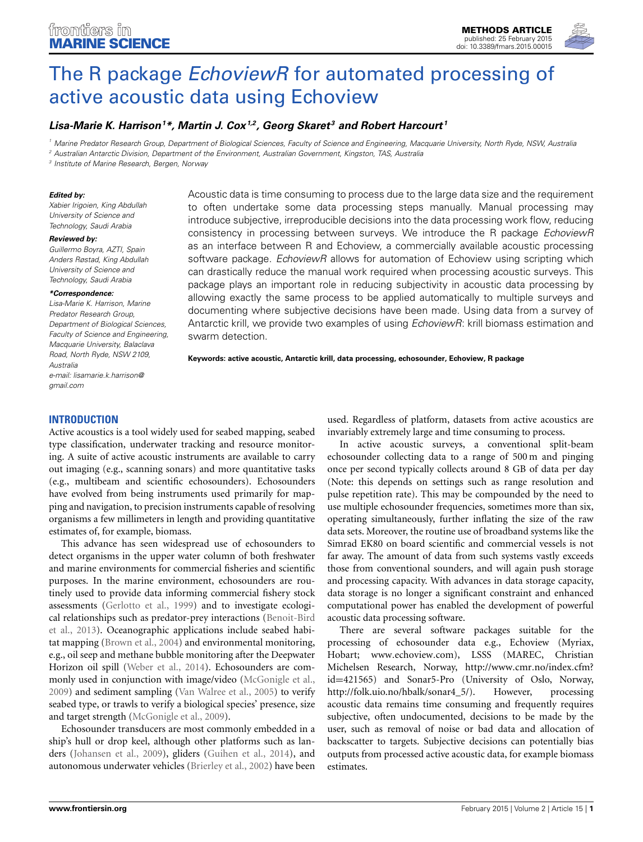

# The R package *EchoviewR* for automated processing of [active acoustic data using Echoview](http://www.frontiersin.org/journal/10.3389/fmars.2015.00015/abstract)

# *[Lisa-Marie K. Harrison](http://community.frontiersin.org/people/u/204580)1 \*, [Martin J. Cox1](http://community.frontiersin.org/people/u/205003),2, Georg Skaret <sup>3</sup> and [Robert Harcourt](http://community.frontiersin.org/people/u/13374) <sup>1</sup>*

*<sup>1</sup> Marine Predator Research Group, Department of Biological Sciences, Faculty of Science and Engineering, Macquarie University, North Ryde, NSW, Australia*

*<sup>2</sup> Australian Antarctic Division, Department of the Environment, Australian Government, Kingston, TAS, Australia*

*<sup>3</sup> Institute of Marine Research, Bergen, Norway*

#### *Edited by:*

*Xabier Irigoien, King Abdullah University of Science and Technology, Saudi Arabia*

#### *Reviewed by:*

*Guillermo Boyra, AZTI, Spain Anders Røstad, King Abdullah University of Science and Technology, Saudi Arabia*

#### *\*Correspondence:*

*Lisa-Marie K. Harrison, Marine Predator Research Group, Department of Biological Sciences, Faculty of Science and Engineering, Macquarie University, Balaclava Road, North Ryde, NSW 2109, Australia e-mail: [lisamarie.k.harrison@](mailto:lisamarie.k.harrison@gmail.com) [gmail.com](mailto:lisamarie.k.harrison@gmail.com)*

Acoustic data is time consuming to process due to the large data size and the requirement to often undertake some data processing steps manually. Manual processing may introduce subjective, irreproducible decisions into the data processing work flow, reducing consistency in processing between surveys. We introduce the R package *EchoviewR* as an interface between R and Echoview, a commercially available acoustic processing software package. *EchoviewR* allows for automation of Echoview using scripting which can drastically reduce the manual work required when processing acoustic surveys. This package plays an important role in reducing subjectivity in acoustic data processing by allowing exactly the same process to be applied automatically to multiple surveys and documenting where subjective decisions have been made. Using data from a survey of Antarctic krill, we provide two examples of using *EchoviewR*: krill biomass estimation and swarm detection.

**Keywords: active acoustic, Antarctic krill, data processing, echosounder, Echoview, R package**

## **INTRODUCTION**

Active acoustics is a tool widely used for seabed mapping, seabed type classification, underwater tracking and resource monitoring. A suite of active acoustic instruments are available to carry out imaging (e.g., scanning sonars) and more quantitative tasks (e.g., multibeam and scientific echosounders). Echosounders have evolved from being instruments used primarily for mapping and navigation, to precision instruments capable of resolving organisms a few millimeters in length and providing quantitative estimates of, for example, biomass.

This advance has seen widespread use of echosounders to detect organisms in the upper water column of both freshwater and marine environments for commercial fisheries and scientific purposes. In the marine environment, echosounders are routinely used to provide data informing commercial fishery stock assessments [\(Gerlotto et al.](#page-4-0), [1999\)](#page-4-0) and to investigate ecological r[elationships such as predator-prey interactions \(](#page-4-1)Benoit-Bird et al., [2013](#page-4-1)). Oceanographic applications include seabed habitat mapping [\(Brown et al., 2004](#page-4-2)) and environmental monitoring, e.g., oil seep and methane bubble monitoring after the Deepwater Horizon oil spill [\(Weber et al.](#page-5-0), [2014\)](#page-5-0). Echosounders are commonly used in conjunction with image/video [\(McGonigle et al.,](#page-5-1) [2009](#page-5-1)) and sediment sampling [\(Van Walree et al.](#page-5-2), [2005\)](#page-5-2) to verify seabed type, or trawls to verify a biological species' presence, size and target strength [\(McGonigle et al.](#page-5-1), [2009\)](#page-5-1).

Echosounder transducers are most commonly embedded in a ship's hull or drop keel, although other platforms such as landers [\(Johansen et al.](#page-5-3), [2009](#page-5-3)), gliders [\(Guihen et al., 2014](#page-4-3)), and autonomous underwater vehicles [\(Brierley et al.](#page-4-4), [2002\)](#page-4-4) have been

used. Regardless of platform, datasets from active acoustics are invariably extremely large and time consuming to process.

In active acoustic surveys, a conventional split-beam echosounder collecting data to a range of 500 m and pinging once per second typically collects around 8 GB of data per day (Note: this depends on settings such as range resolution and pulse repetition rate). This may be compounded by the need to use multiple echosounder frequencies, sometimes more than six, operating simultaneously, further inflating the size of the raw data sets. Moreover, the routine use of broadband systems like the Simrad EK80 on board scientific and commercial vessels is not far away. The amount of data from such systems vastly exceeds those from conventional sounders, and will again push storage and processing capacity. With advances in data storage capacity, data storage is no longer a significant constraint and enhanced computational power has enabled the development of powerful acoustic data processing software.

There are several software packages suitable for the processing of echosounder data e.g., Echoview (Myriax, Hobart; www*.*[echoview](www.echoview.com)*.*com), LSSS (MAREC, Christian Michelsen Research, Norway, [http://www](http://www.cmr.no/index.cfm?id=421565)*.*cmr*.*no/index*.*cfm? id=[421565\)](http://www.cmr.no/index.cfm?id=421565) and Sonar5-Pro (University of Oslo, Norway, http://folk.uio.no/hbalk/sonar4 5/). However, processing [http://folk.uio.no/hbalk/sonar4\\_5/\)](http://folk.uio.no/hbalk/sonar4_5/). acoustic data remains time consuming and frequently requires subjective, often undocumented, decisions to be made by the user, such as removal of noise or bad data and allocation of backscatter to targets. Subjective decisions can potentially bias outputs from processed active acoustic data, for example biomass estimates.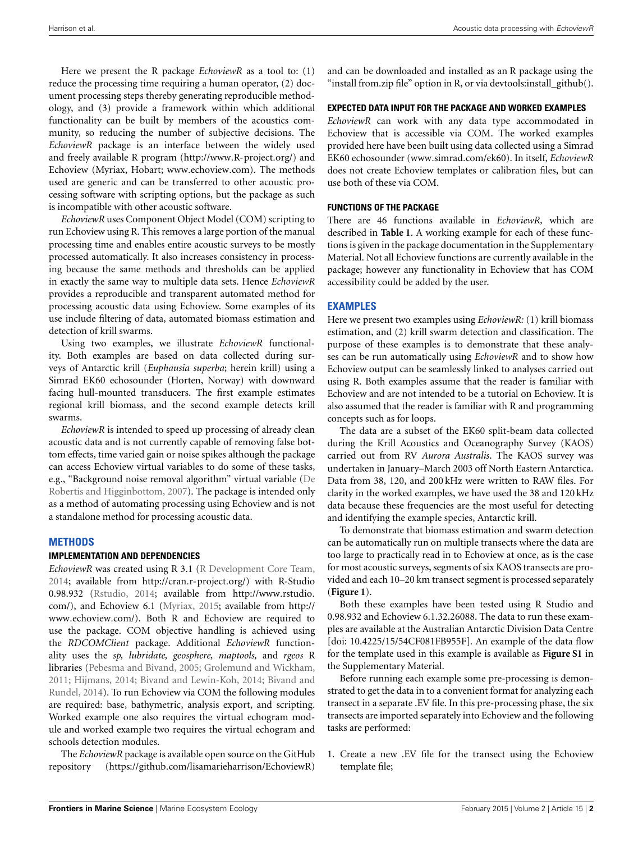Here we present the R package *EchoviewR* as a tool to: (1) reduce the processing time requiring a human operator, (2) document processing steps thereby generating reproducible methodology, and (3) provide a framework within which additional functionality can be built by members of the acoustics community, so reducing the number of subjective decisions. The *EchoviewR* package is an interface between the widely used and freely available R program [\(http://www](http://www.R-project.org/)*.*R-project*.*org/) and Echoview (Myriax, Hobart; www*.*[echoview](www.echoview.com)*.*com). The methods used are generic and can be transferred to other acoustic processing software with scripting options, but the package as such is incompatible with other acoustic software.

*EchoviewR* uses Component Object Model (COM) scripting to run Echoview using R. This removes a large portion of the manual processing time and enables entire acoustic surveys to be mostly processed automatically. It also increases consistency in processing because the same methods and thresholds can be applied in exactly the same way to multiple data sets. Hence *EchoviewR* provides a reproducible and transparent automated method for processing acoustic data using Echoview. Some examples of its use include filtering of data, automated biomass estimation and detection of krill swarms.

Using two examples, we illustrate *EchoviewR* functionality. Both examples are based on data collected during surveys of Antarctic krill (*Euphausia superba*; herein krill) using a Simrad EK60 echosounder (Horten, Norway) with downward facing hull-mounted transducers. The first example estimates regional krill biomass, and the second example detects krill swarms.

*EchoviewR* is intended to speed up processing of already clean acoustic data and is not currently capable of removing false bottom effects, time varied gain or noise spikes although the package can access Echoview virtual variables to do some of these tasks, e.g., "Background noise re[moval algorithm" virtual variable \(](#page-4-5)De Robertis and Higginbottom, [2007](#page-4-5)). The package is intended only as a method of automating processing using Echoview and is not a standalone method for processing acoustic data.

## **METHODS**

## **IMPLEMENTATION AND DEPENDENCIES**

*EchoviewR* was created using R 3.1 [\(R Development Core Team](#page-5-4), [2014](#page-5-4); available from [http://cran](http://cran.r-project.org/)*.*r-project*.*org/) with R-Studio 0.98.932 [\(Rstudio, 2014](#page-5-5); available from [http://www](http://www.rstudio.com/)*.*rstudio*.* [com/\)](http://www.rstudio.com/), and Echoview 6.1 [\(Myriax](#page-5-6), [2015](#page-5-6); available from [http://](http://www.echoview.com/) www*.*[echoview](http://www.echoview.com/)*.*com/). Both R and Echoview are required to use the package. COM objective handling is achieved using the *RDCOMClient* package. Additional *EchoviewR* functionality uses the *sp, lubridate, geosphere, maptools,* and *rgeos* R libraries [\(Pebesma and Bivand](#page-5-7), [2005](#page-5-7); [Grolemund and Wickham,](#page-4-6) [2011](#page-4-6); [Hijmans](#page-5-8)[,](#page-4-8) [2014;](#page-5-8) [Bivand and Lewin-Koh](#page-4-7)[,](#page-4-8) [2014;](#page-4-7) Bivand and Rundel, [2014](#page-4-8)). To run Echoview via COM the following modules are required: base, bathymetric, analysis export, and scripting. Worked example one also requires the virtual echogram module and worked example two requires the virtual echogram and schools detection modules.

The *EchoviewR* package is available open source on the GitHub repository (https://github*.*[com/lisamarieharrison/EchoviewR\)](https://github.com/lisamarieharrison/EchoviewR) and can be downloaded and installed as an R package using the "install from.zip file" option in R, or via devtools:install\_github().

# **EXPECTED DATA INPUT FOR THE PACKAGE AND WORKED EXAMPLES**

*EchoviewR* can work with any data type accommodated in Echoview that is accessible via COM. The worked examples provided here have been built using data collected using a Simrad EK60 echosounder (www*.*simrad*.*[com/ek60\)](www.simrad.com/ek60). In itself, *EchoviewR* does not create Echoview templates or calibration files, but can use both of these via COM.

# **FUNCTIONS OF THE PACKAGE**

There are 46 functions available in *EchoviewR,* which are described in **[Table 1](#page-2-0)**. A working example for each of these functions is given in the package documentation in the Supplementary Material. Not all Echoview functions are currently available in the package; however any functionality in Echoview that has COM accessibility could be added by the user.

# **EXAMPLES**

Here we present two examples using *EchoviewR:* (1) krill biomass estimation, and (2) krill swarm detection and classification. The purpose of these examples is to demonstrate that these analyses can be run automatically using *EchoviewR* and to show how Echoview output can be seamlessly linked to analyses carried out using R. Both examples assume that the reader is familiar with Echoview and are not intended to be a tutorial on Echoview. It is also assumed that the reader is familiar with R and programming concepts such as for loops.

The data are a subset of the EK60 split-beam data collected during the Krill Acoustics and Oceanography Survey (KAOS) carried out from RV *Aurora Australis*. The KAOS survey was undertaken in January–March 2003 off North Eastern Antarctica. Data from 38, 120, and 200 kHz were written to RAW files. For clarity in the worked examples, we have used the 38 and 120 kHz data because these frequencies are the most useful for detecting and identifying the example species, Antarctic krill.

To demonstrate that biomass estimation and swarm detection can be automatically run on multiple transects where the data are too large to practically read in to Echoview at once, as is the case for most acoustic surveys, segments of six KAOS transects are provided and each 10–20 km transect segment is processed separately (**[Figure 1](#page-2-1)**).

Both these examples have been tested using R Studio and 0.98.932 and Echoview 6.1.32.26088. The data to run these examples are available at the Australian Antarctic Division Data Centre [doi: 10.4225/15/54CF081FB955F]. An example of the data flow for the template used in this example is available as **[Figure S1](#page-4-9)** in the Supplementary Material.

Before running each example some pre-processing is demonstrated to get the data in to a convenient format for analyzing each transect in a separate .EV file. In this pre-processing phase, the six transects are imported separately into Echoview and the following tasks are performed:

1. Create a new .EV file for the transect using the Echoview template file;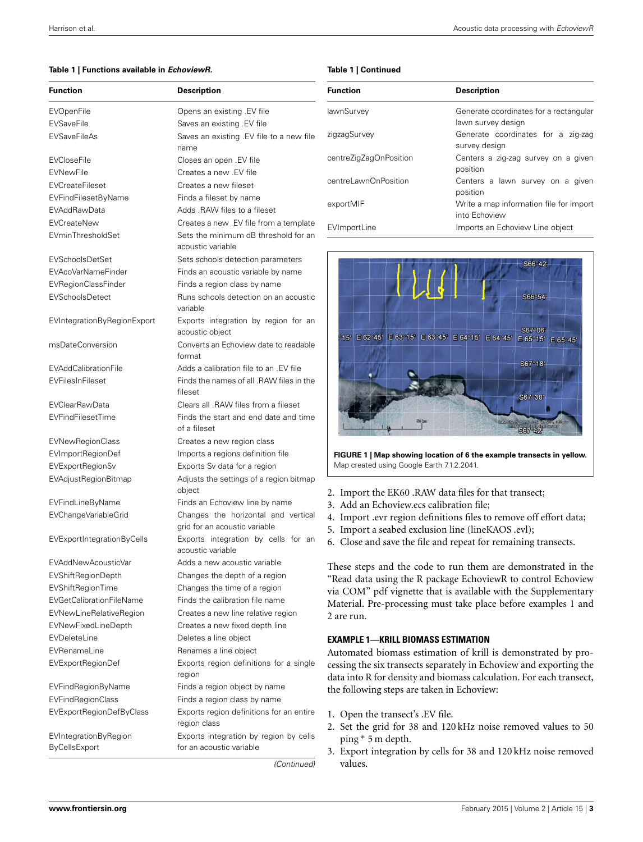#### <span id="page-2-0"></span>**Table 1 | Functions available in** *EchoviewR.*

| <b>Function</b>                        | <b>Description</b>                                                   |  |
|----------------------------------------|----------------------------------------------------------------------|--|
| <b>EVOpenFile</b>                      | Opens an existing .EV file                                           |  |
| <b>EVSaveFile</b>                      | Saves an existing . EV file                                          |  |
| <b>EVSaveFileAs</b>                    | Saves an existing .EV file to a new file<br>name                     |  |
| <b>EVCloseFile</b>                     | Closes an open .EV file                                              |  |
| <b>EVNewFile</b>                       | Creates a new .EV file                                               |  |
| <b>EVCreateFileset</b>                 | Creates a new fileset                                                |  |
| <b>EVFindFilesetByName</b>             | Finds a fileset by name                                              |  |
| <b>EVAddRawData</b>                    | Adds .RAW files to a fileset                                         |  |
| EVCreateNew                            | Creates a new .EV file from a template                               |  |
| EVminThresholdSet                      | Sets the minimum dB threshold for an<br>acoustic variable            |  |
| <b>EVSchoolsDetSet</b>                 | Sets schools detection parameters                                    |  |
| EVAcoVarNameFinder                     | Finds an acoustic variable by name                                   |  |
| EVRegionClassFinder                    | Finds a region class by name                                         |  |
| <b>EVSchoolsDetect</b>                 | Runs schools detection on an acoustic<br>variable                    |  |
| EVIntegrationByRegionExport            | Exports integration by region for an<br>acoustic obiect              |  |
| msDateConversion                       | Converts an Echoview date to readable<br>format                      |  |
| <b>EVAddCalibrationFile</b>            | Adds a calibration file to an .EV file                               |  |
| EVFilesInFileset                       | Finds the names of all .RAW files in the<br>fileset                  |  |
| <b>EVClearRawData</b>                  | Clears all .RAW files from a fileset                                 |  |
| EVFindFilesetTime                      | Finds the start and end date and time<br>of a fileset                |  |
| <b>EVNewRegionClass</b>                | Creates a new region class                                           |  |
| EVImportRegionDef                      | Imports a regions definition file                                    |  |
| <b>EVExportRegionSv</b>                | Exports Sv data for a region                                         |  |
| EVAdjustRegionBitmap                   | Adjusts the settings of a region bitmap<br>object                    |  |
| EVFindLineByName                       | Finds an Echoview line by name                                       |  |
| EVChangeVariableGrid                   | Changes the horizontal and vertical<br>grid for an acoustic variable |  |
| EVExportIntegrationByCells             | Exports integration by cells for an<br>acoustic variable             |  |
| EVAddNewAcousticVar                    | Adds a new acoustic variable                                         |  |
| EVShiftRegionDepth                     | Changes the depth of a region                                        |  |
| EVShiftRegionTime                      | Changes the time of a region                                         |  |
| <b>EVGetCalibrationFileName</b>        | Finds the calibration file name                                      |  |
| EVNewLineRelativeRegion                | Creates a new line relative region                                   |  |
| EVNewFixedLineDepth                    | Creates a new fixed depth line                                       |  |
| EVDeleteLine                           | Deletes a line object                                                |  |
| EVRenameLine                           | Renames a line object                                                |  |
| EVExportRegionDef                      | Exports region definitions for a single<br>region                    |  |
| <b>EVFindRegionByName</b>              | Finds a region object by name                                        |  |
| EVFindRegionClass                      | Finds a region class by name                                         |  |
| EVExportRegionDefByClass               | Exports region definitions for an entire<br>region class             |  |
| EVIntegrationByRegion<br>ByCellsExport | Exports integration by region by cells<br>for an acoustic variable   |  |

**Table 1 | Continued**

| <b>Function</b>        | <b>Description</b>                                           |  |
|------------------------|--------------------------------------------------------------|--|
| lawnSurvey             | Generate coordinates for a rectangular<br>lawn survey design |  |
| zigzagSurvey           | Generate coordinates for a zig-zag<br>survey design          |  |
| centreZigZagOnPosition | Centers a zig-zag survey on a given<br>position              |  |
| centreLawnOnPosition   | Centers a lawn survey on a given<br>position                 |  |
| exportMIF              | Write a map information file for import<br>into Echoview     |  |
| EVImportLine           | Imports an Echoview Line object                              |  |



<span id="page-2-1"></span>**FIGURE 1 | Map showing location of 6 the example transects in yellow.** Map created using Google Earth 7.1.2.2041.

- Import the EK60 .RAW data files for that transect;
- Add an Echoview.ecs calibration file;
- Import .evr region definitions files to remove off effort data;
- 5. Import a seabed exclusion line (lineKAOS .evl);

Close and save the file and repeat for remaining transects.

hese steps and the code to run them are demonstrated in the Read data using the R package EchoviewR to control Echoview ia COM" pdf vignette that is available with the Supplementary Material. Pre-processing must take place before examples 1 and are run.

# **EXAMPLE 1—KRILL BIOMASS ESTIMATION**

utomated biomass estimation of krill is demonstrated by proessing the six transects separately in Echoview and exporting the ata into R for density and biomass calculation. For each transect, the following steps are taken in Echoview:

- Open the transect's .EV file.
- Set the grid for 38 and 120 kHz noise removed values to 50 ping ∗ 5 m depth.
- Export integration by cells for 38 and 120 kHz noise removed values.

*(Continued)*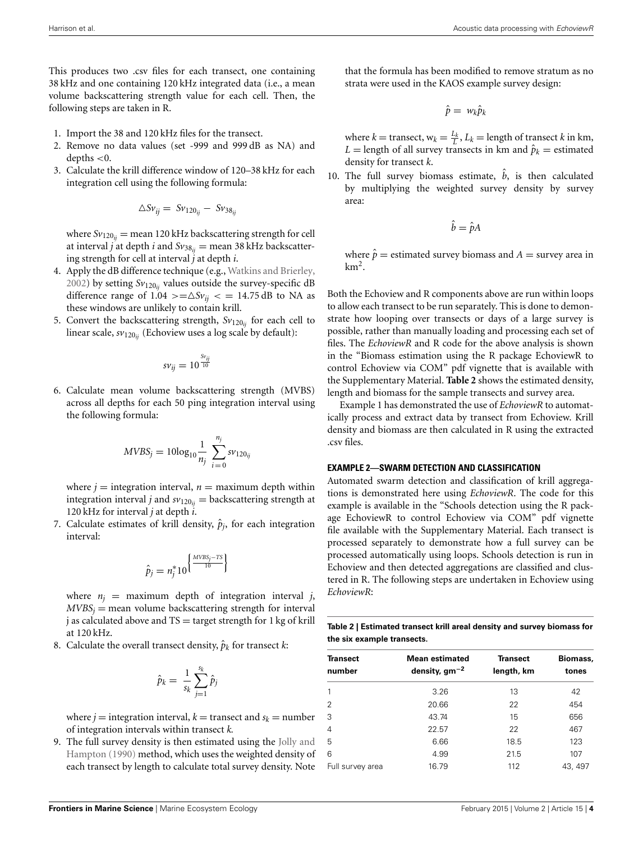This produces two .csv files for each transect, one containing 38 kHz and one containing 120 kHz integrated data (i.e., a mean volume backscattering strength value for each cell. Then, the following steps are taken in R.

- 1. Import the 38 and 120 kHz files for the transect.
- 2. Remove no data values (set -999 and 999 dB as NA) and depths *<*0.
- 3. Calculate the krill difference window of 120–38 kHz for each integration cell using the following formula:

$$
\triangle Sv_{ij} = Sv_{120_{ij}} - Sv_{38_{ij}}
$$

where  $Sv_{120ii}$  = mean 120 kHz backscattering strength for cell at interval *j* at depth *i* and  $Sv_{38ij}$  = mean 38 kHz backscattering strength for cell at interval *j* at depth *i*.

- 4. Apply the dB difference technique (e.g., [Watkins and Brierley](#page-5-9), [2002\)](#page-5-9) by setting  $Sv_{120}$ <sub>*ii*</sub> values outside the survey-specific dB difference range of  $1.04$  >= $\Delta Sv_{ii}$  < = 14.75 dB to NA as these windows are unlikely to contain krill.
- 5. Convert the backscattering strength,  $Sv_{120ii}$  for each cell to linear scale, *sv*120*ij* (Echoview uses a log scale by default):

$$
s v_{ij} = 10^{\frac{S v_{ij}}{10}}
$$

6. Calculate mean volume backscattering strength (MVBS) across all depths for each 50 ping integration interval using the following formula:

$$
MVBS_j = 10\log_{10}\frac{1}{n_j} \sum_{i=0}^{n_j} s v_{120ij}
$$

where  $j =$  integration interval,  $n =$  maximum depth within integration interval *j* and  $sv_{120_{ij}} =$  backscattering strength at 120 kHz for interval *j* at depth *i*.

7. Calculate estimates of krill density,  $\hat{p}_i$ , for each integration interval:

$$
\hat{p}_j = n_j^* 10^{\left\{\frac{MVBS_j - TS}{10}\right\}}
$$

where  $n_i$  = maximum depth of integration interval *j*,  $MVBS_i$  = mean volume backscattering strength for interval  $j$  as calculated above and  $TS =$  target strength for 1 kg of krill at 120 kHz.

8. Calculate the overall transect density,  $\hat{p}_k$  for transect *k*:

$$
\hat{p}_k = \frac{1}{s_k} \sum_{j=1}^{s_k} \hat{p}_j
$$

where  $j =$  integration interval,  $k =$  transect and  $s_k =$  number of integration intervals within transect *k.*

9. The full s[urvey density is then estimated using the](#page-5-10) Jolly and Hampton [\(1990](#page-5-10)) method, which uses the weighted density of each transect by length to calculate total survey density. Note

that the formula has been modified to remove stratum as no strata were used in the KAOS example survey design:

$$
\hat{p} = w_k \hat{p}_k
$$

where  $k =$  transect,  $w_k = \frac{L_k}{L}$ ,  $L_k =$  length of transect  $k$  in km, *L* = length of all survey transects in km and  $\hat{p}_k$  = estimated density for transect *k*.

10. The full survey biomass estimate, *b*, is then calculated by multiplying the weighted survey density by survey area:

$$
\hat{b} = \hat{p}A
$$

where  $\hat{p}$  = estimated survey biomass and *A* = survey area in  $km<sup>2</sup>$ .

Both the Echoview and R components above are run within loops to allow each transect to be run separately. This is done to demonstrate how looping over transects or days of a large survey is possible, rather than manually loading and processing each set of files. The *EchoviewR* and R code for the above analysis is shown in the "Biomass estimation using the R package EchoviewR to control Echoview via COM" pdf vignette that is available with the Supplementary Material. **[Table 2](#page-3-0)** shows the estimated density, length and biomass for the sample transects and survey area.

Example 1 has demonstrated the use of *EchoviewR* to automatically process and extract data by transect from Echoview. Krill density and biomass are then calculated in R using the extracted .csv files.

## **EXAMPLE 2—SWARM DETECTION AND CLASSIFICATION**

Automated swarm detection and classification of krill aggregations is demonstrated here using *EchoviewR*. The code for this example is available in the "Schools detection using the R package EchoviewR to control Echoview via COM" pdf vignette file available with the Supplementary Material. Each transect is processed separately to demonstrate how a full survey can be processed automatically using loops. Schools detection is run in Echoview and then detected aggregations are classified and clustered in R. The following steps are undertaken in Echoview using *EchoviewR*:

<span id="page-3-0"></span>

| Table 2   Estimated transect krill areal density and survey biomass for |
|-------------------------------------------------------------------------|
| the six example transects.                                              |

| Transect<br>number | Mean estimated<br>density, $gm^{-2}$ | <b>Transect</b><br>length, km | Biomass,<br>tones |
|--------------------|--------------------------------------|-------------------------------|-------------------|
|                    | 3.26                                 | 13                            | 42                |
| 2                  | 20.66                                | 22                            | 454               |
| 3                  | 43.74                                | 15                            | 656               |
| 4                  | 22.57                                | 22                            | 467               |
| 5                  | 6.66                                 | 18.5                          | 123               |
| 6                  | 4.99                                 | 21.5                          | 107               |
| Full survey area   | 16.79                                | 112                           | 43, 497           |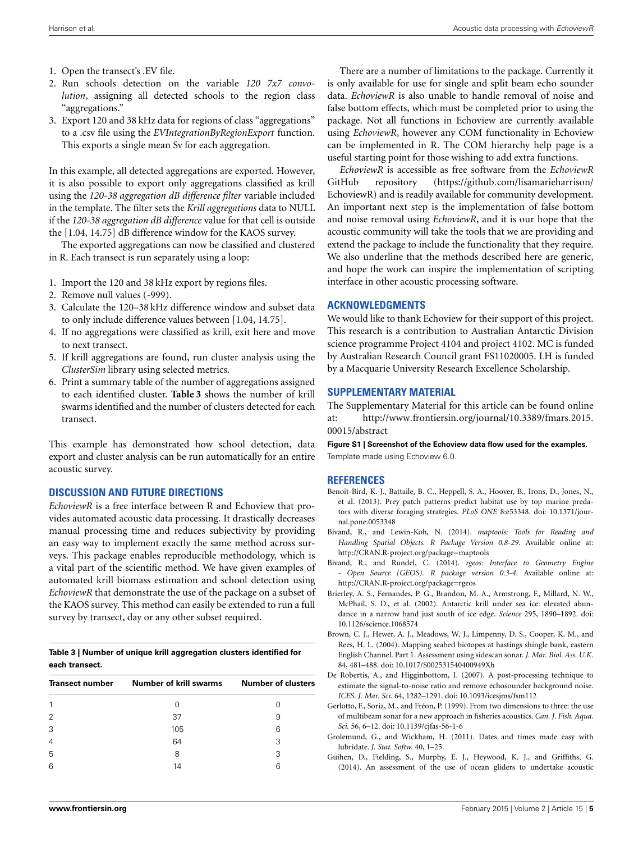- 1. Open the transect's .EV file.
- 2. Run schools detection on the variable *120 7x7 convolution*, assigning all detected schools to the region class "aggregations."
- 3. Export 120 and 38 kHz data for regions of class "aggregations" to a .csv file using the *EVIntegrationByRegionExport* function. This exports a single mean Sv for each aggregation.

In this example, all detected aggregations are exported. However, it is also possible to export only aggregations classified as krill using the *120-38 aggregation dB difference filter* variable included in the template. The filter sets the *Krill aggregations* data to NULL if the *120-38 aggregation dB difference* value for that cell is outside the [1.04, 14.75] dB difference window for the KAOS survey.

The exported aggregations can now be classified and clustered in R. Each transect is run separately using a loop:

- 1. Import the 120 and 38 kHz export by regions files.
- 2. Remove null values (-999).
- 3. Calculate the 120–38 kHz difference window and subset data to only include difference values between [1.04, 14.75].
- 4. If no aggregations were classified as krill, exit here and move to next transect.
- 5. If krill aggregations are found, run cluster analysis using the *ClusterSim* library using selected metrics.
- 6. Print a summary table of the number of aggregations assigned to each identified cluster. **[Table 3](#page-4-10)** shows the number of krill swarms identified and the number of clusters detected for each transect.

This example has demonstrated how school detection, data export and cluster analysis can be run automatically for an entire acoustic survey.

# **DISCUSSION AND FUTURE DIRECTIONS**

*EchoviewR* is a free interface between R and Echoview that provides automated acoustic data processing. It drastically decreases manual processing time and reduces subjectivity by providing an easy way to implement exactly the same method across surveys. This package enables reproducible methodology, which is a vital part of the scientific method. We have given examples of automated krill biomass estimation and school detection using *EchoviewR* that demonstrate the use of the package on a subset of the KAOS survey. This method can easily be extended to run a full survey by transect, day or any other subset required.

## <span id="page-4-10"></span>**Table 3 | Number of unique krill aggregation clusters identified for each transect.**

| <b>Transect number</b> | Number of krill swarms | <b>Number of clusters</b> |  |
|------------------------|------------------------|---------------------------|--|
|                        |                        |                           |  |
| $\overline{2}$         | 37                     | 9                         |  |
| 3                      | 105                    | 6                         |  |
| $\overline{4}$         | 64                     | З                         |  |
| 5                      | 8                      | 3                         |  |
| 6                      | 14                     | ค                         |  |
|                        |                        |                           |  |

There are a number of limitations to the package. Currently it is only available for use for single and split beam echo sounder data. *EchoviewR* is also unable to handle removal of noise and false bottom effects, which must be completed prior to using the package. Not all functions in Echoview are currently available using *EchoviewR*, however any COM functionality in Echoview can be implemented in R. The COM hierarchy help page is a useful starting point for those wishing to add extra functions.

*EchoviewR* is accessible as free software from the *EchoviewR* GitHub repository (https://github*.*[com/lisamarieharrison/](https://github.com/lisamarieharrison/EchoviewR) [EchoviewR\)](https://github.com/lisamarieharrison/EchoviewR) and is readily available for community development. An important next step is the implementation of false bottom and noise removal using *EchoviewR*, and it is our hope that the acoustic community will take the tools that we are providing and extend the package to include the functionality that they require. We also underline that the methods described here are generic, and hope the work can inspire the implementation of scripting interface in other acoustic processing software.

# **ACKNOWLEDGMENTS**

We would like to thank Echoview for their support of this project. This research is a contribution to Australian Antarctic Division science programme Project 4104 and project 4102. MC is funded by Australian Research Council grant FS11020005. LH is funded by a Macquarie University Research Excellence Scholarship.

# <span id="page-4-9"></span>**SUPPLEMENTARY MATERIAL**

The Supplementary Material for this article can be found online at: http://www*.*frontiersin*.*[org/journal/10](http://www.frontiersin.org/journal/10.3389/fmars.2015.00015/abstract)*.*3389/fmars*.*2015*.* [00015/abstract](http://www.frontiersin.org/journal/10.3389/fmars.2015.00015/abstract)

**Figure S1 | Screenshot of the Echoview data flow used for the examples.** Template made using Echoview 6.0.

# **REFERENCES**

- <span id="page-4-1"></span>Benoit-Bird, K. J., Battaile, B. C., Heppell, S. A., Hoover, B., Irons, D., Jones, N., et al. (2013). Prey patch patterns predict habitat use by top marine predators with diverse foraging strategies. *PLoS ONE* 8:e53348. doi: 10.1371/journal.pone.0053348
- <span id="page-4-7"></span>Bivand, R., and Lewin-Koh, N. (2014). *maptools: Tools for Reading and Handling Spatial Objects. R Package Version 0.8-29*. Available online at: <http://CRAN.R-project.org/package=maptools>
- <span id="page-4-8"></span>Bivand, R., and Rundel, C. (2014). *rgeos: Interface to Geometry Engine - Open Source (GEOS). R package version 0.3-4*. Available online at: <http://CRAN.R-project.org/package=rgeos>
- <span id="page-4-4"></span>Brierley, A. S., Fernandes, P. G., Brandon, M. A., Armstrong, F., Millard, N. W., McPhail, S. D., et al. (2002). Antarctic krill under sea ice: elevated abundance in a narrow band just south of ice edge. *Science* 295, 1890–1892. doi: 10.1126/science.1068574
- <span id="page-4-2"></span>Brown, C. J., Hewer, A. J., Meadows, W. J., Limpenny, D. S., Cooper, K. M., and Rees, H. L. (2004). Mapping seabed biotopes at hastings shingle bank, eastern English Channel. Part 1. Assessment using sidescan sonar. *J. Mar. Biol. Ass. U.K.* 84, 481–488. doi: 10.1017/S002531540400949Xh
- <span id="page-4-5"></span>De Robertis, A., and Higginbottom, I. (2007). A post-processing technique to estimate the signal-to-noise ratio and remove echosounder background noise. *ICES. J. Mar. Sci.* 64, 1282–1291. doi: 10.1093/icesjms/fsm112
- <span id="page-4-0"></span>Gerlotto, F., Soria, M., and Fréon, P. (1999). From two dimensions to three: the use of multibeam sonar for a new approach in fisheries acoustics. *Can. J. Fish. Aqua. Sci.* 56, 6–12. doi: 10.1139/cjfas-56-1-6
- <span id="page-4-6"></span>Grolemund, G., and Wickham, H. (2011). Dates and times made easy with lubridate. *J. Stat. Softw.* 40, 1–25.
- <span id="page-4-3"></span>Guihen, D., Fielding, S., Murphy, E. J., Heywood, K. J., and Griffiths, G. (2014). An assessment of the use of ocean gliders to undertake acoustic